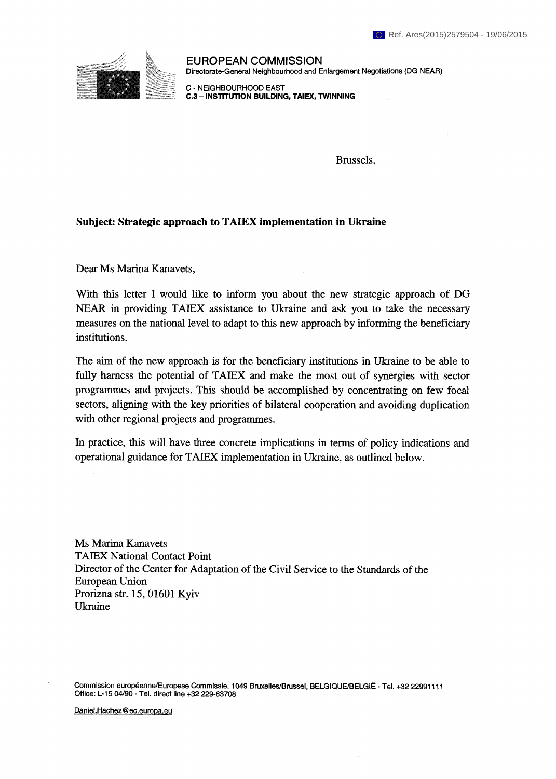

**EUROPEAN COMMISSION Directorate-General Neighbourhood and Enlargement Negotiations (DG NEAR)** 

**C - NEIGHBOURHOOD EAST**  C.3 - INSTITUTION BUILDING, TAIEX, TWINNING

Brussels,

## **Subject: Strategic approach to ТАШХ implementation in Ukraine**

Dear Ms Marina Kanavets,

With this letter I would like to inform you about the new strategic approach of DG NEAR in providing TAIEX assistance to Ukraine and ask you to take the necessary measures on the national level to adapt to this new approach by informing the beneficiary institutions.

The aim of the new approach is for the beneficiary institutions in Ukraine to be able to fully harness the potential of TAIEX and make the most out of synergies with sector programmes and projects. This should be accomplished by concentrating on few focal sectors, aligning with the key priorities of bilateral cooperation and avoiding duplication with other regional projects and programmes.

In practice, this will have three concrete implications in terms of policy indications and operational guidance for ТАШХ implementation in Ukraine, as outlined below.

Ms Marina Kanavets ТАШХ National Contact Point Director of the Center for Adaptation of the Civil Service to the Standards of the European Union Prorizna str. 15, 01601 Kyiv Ukraine

**Commission européenne/Europese Commissie, 1049 Bruxelles/Brussel, BELGIQUE/BELGIĚ - Tel. +32 22991111 Office: L-15 04/90 - Tel. direct line +32 229-63708** 

**Daniel.Hachez@ec.euroDa.eu**